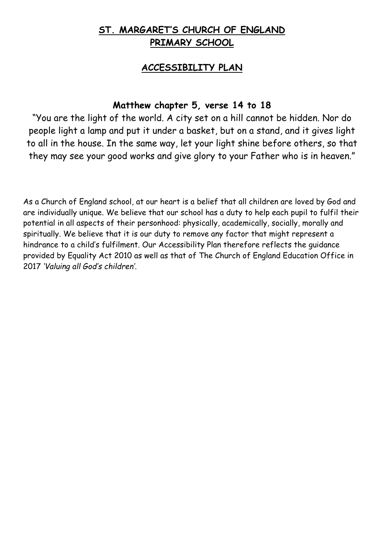## **ST. MARGARET'S CHURCH OF ENGLAND PRIMARY SCHOOL**

## **ACCESSIBILITY PLAN**

## **Matthew chapter 5, verse 14 to 18**

"You are the light of the world. A city set on a hill cannot be hidden. Nor do people light a lamp and put it under a basket, but on a stand, and it gives light to all in the house. In the same way, let your light shine before others, so that they may see your good works and give glory to your Father who is in heaven."

As a Church of England school, at our heart is a belief that all children are loved by God and are individually unique. We believe that our school has a duty to help each pupil to fulfil their potential in all aspects of their personhood: physically, academically, socially, morally and spiritually. We believe that it is our duty to remove any factor that might represent a hindrance to a child's fulfilment. Our Accessibility Plan therefore reflects the guidance provided by Equality Act 2010 as well as that of The Church of England Education Office in 2017 *'Valuing all God's children'*.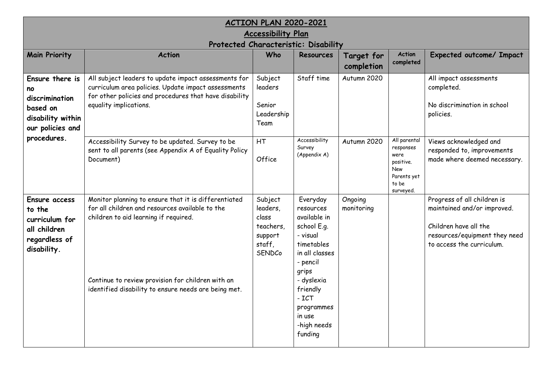| ACTION PLAN 2020-2021                                                                                       |                                                                                                                                                                                                                                                               |                                                                          |                                                                                                                                                                                                             |                          |                                                                                                   |                                                                                                                                                   |  |  |
|-------------------------------------------------------------------------------------------------------------|---------------------------------------------------------------------------------------------------------------------------------------------------------------------------------------------------------------------------------------------------------------|--------------------------------------------------------------------------|-------------------------------------------------------------------------------------------------------------------------------------------------------------------------------------------------------------|--------------------------|---------------------------------------------------------------------------------------------------|---------------------------------------------------------------------------------------------------------------------------------------------------|--|--|
| <b>Accessibility Plan</b>                                                                                   |                                                                                                                                                                                                                                                               |                                                                          |                                                                                                                                                                                                             |                          |                                                                                                   |                                                                                                                                                   |  |  |
| Protected Characteristic: Disability                                                                        |                                                                                                                                                                                                                                                               |                                                                          |                                                                                                                                                                                                             |                          |                                                                                                   |                                                                                                                                                   |  |  |
| <b>Main Priority</b>                                                                                        | <b>Action</b>                                                                                                                                                                                                                                                 | Who                                                                      | <b>Resources</b>                                                                                                                                                                                            | Target for<br>completion | <b>Action</b><br>completed                                                                        | Expected outcome/ Impact                                                                                                                          |  |  |
| Ensure there is<br>no<br>discrimination<br>based on<br>disability within<br>our policies and<br>procedures. | All subject leaders to update impact assessments for<br>curriculum area policies. Update impact assessments<br>for other policies and procedures that have disability<br>equality implications.                                                               | Subject<br>leaders<br>Senior<br>Leadership<br>Team                       | Staff time                                                                                                                                                                                                  | Autumn 2020              |                                                                                                   | All impact assessments<br>completed.<br>No discrimination in school<br>policies.                                                                  |  |  |
|                                                                                                             | Accessibility Survey to be updated. Survey to be<br>sent to all parents (see Appendix A of Equality Policy<br>Document)                                                                                                                                       | <b>HT</b><br>Office                                                      | Accessibility<br>Survey<br>(Appendix A)                                                                                                                                                                     | Autumn 2020              | All parental<br>responses<br>were<br>positive.<br><b>New</b><br>Parents yet<br>to be<br>surveyed. | Views acknowledged and<br>responded to, improvements<br>made where deemed necessary.                                                              |  |  |
| <b>Ensure access</b><br>to the<br>curriculum for<br>all children<br>regardless of<br>disability.            | Monitor planning to ensure that it is differentiated<br>for all children and resources available to the<br>children to aid learning if required.<br>Continue to review provision for children with an<br>identified disability to ensure needs are being met. | Subject<br>leaders,<br>class<br>teachers,<br>support<br>staff.<br>SENDCo | Everyday<br>resources<br>available in<br>school E.g.<br>- visual<br>timetables<br>in all classes<br>- pencil<br>grips<br>- dyslexia<br>friendly<br>$-ICT$<br>programmes<br>in use<br>-high needs<br>funding | Ongoing<br>monitoring    |                                                                                                   | Progress of all children is<br>maintained and/or improved.<br>Children have all the<br>resources/equipment they need<br>to access the curriculum. |  |  |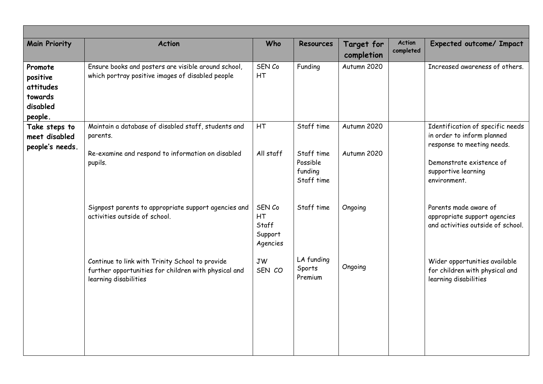| <b>Main Priority</b>                                               | <b>Action</b>                                                                                                                    | Who                                          | <b>Resources</b>                                              | <b>Target for</b><br>completion | <b>Action</b><br>completed | Expected outcome/ Impact                                                                                                                                        |
|--------------------------------------------------------------------|----------------------------------------------------------------------------------------------------------------------------------|----------------------------------------------|---------------------------------------------------------------|---------------------------------|----------------------------|-----------------------------------------------------------------------------------------------------------------------------------------------------------------|
| Promote<br>positive<br>attitudes<br>towards<br>disabled<br>people. | Ensure books and posters are visible around school,<br>which portray positive images of disabled people                          | SEN Co<br>HT                                 | Funding                                                       | Autumn 2020                     |                            | Increased awareness of others.                                                                                                                                  |
| Take steps to<br>meet disabled<br>people's needs.                  | Maintain a database of disabled staff, students and<br>parents.<br>Re-examine and respond to information on disabled<br>pupils.  | HT<br>All staff                              | Staff time<br>Staff time<br>Possible<br>funding<br>Staff time | Autumn 2020<br>Autumn 2020      |                            | Identification of specific needs<br>in order to inform planned<br>response to meeting needs.<br>Demonstrate existence of<br>supportive learning<br>environment. |
|                                                                    | Signpost parents to appropriate support agencies and<br>activities outside of school.                                            | SEN Co<br>HT<br>Staff<br>Support<br>Agencies | Staff time                                                    | Ongoing                         |                            | Parents made aware of<br>appropriate support agencies<br>and activities outside of school.                                                                      |
|                                                                    | Continue to link with Trinity School to provide<br>further opportunities for children with physical and<br>learning disabilities | <b>JW</b><br>SEN CO                          | LA funding<br>Sports<br>Premium                               | Ongoing                         |                            | Wider opportunities available<br>for children with physical and<br>learning disabilities                                                                        |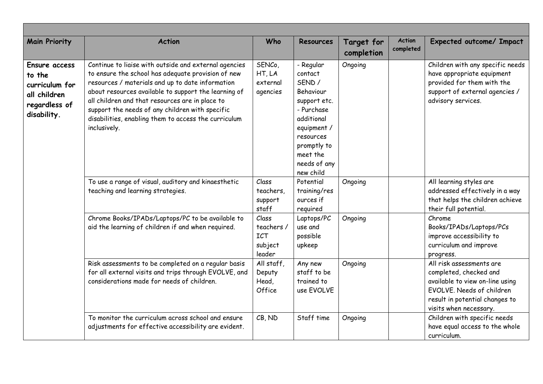| <b>Main Priority</b>                                                                      | <b>Action</b>                                                                                                                                                                                                                                                                                                                                                                                         | Who                                                   | <b>Resources</b>                                                                                                                                                            | Target for<br>completion | <b>Action</b><br>completed | <b>Expected outcome/ Impact</b>                                                                                                                                                |
|-------------------------------------------------------------------------------------------|-------------------------------------------------------------------------------------------------------------------------------------------------------------------------------------------------------------------------------------------------------------------------------------------------------------------------------------------------------------------------------------------------------|-------------------------------------------------------|-----------------------------------------------------------------------------------------------------------------------------------------------------------------------------|--------------------------|----------------------------|--------------------------------------------------------------------------------------------------------------------------------------------------------------------------------|
| Ensure access<br>to the<br>curriculum for<br>all children<br>regardless of<br>disability. | Continue to liaise with outside and external agencies<br>to ensure the school has adequate provision of new<br>resources / materials and up to date information<br>about resources available to support the learning of<br>all children and that resources are in place to<br>support the needs of any children with specific<br>disabilities, enabling them to access the curriculum<br>inclusively. | SENCo,<br>HT, LA<br>external<br>agencies              | - Regular<br>contact<br>SEND /<br>Behaviour<br>support etc.<br>- Purchase<br>additional<br>equipment /<br>resources<br>promptly to<br>meet the<br>needs of any<br>new child | Ongoing                  |                            | Children with any specific needs<br>have appropriate equipment<br>provided for them with the<br>support of external agencies /<br>advisory services.                           |
|                                                                                           | To use a range of visual, auditory and kinaesthetic<br>teaching and learning strategies.                                                                                                                                                                                                                                                                                                              | Class<br>teachers,<br>support<br>staff                | Potential<br>training/res<br>ources if<br>required                                                                                                                          | Ongoing                  |                            | All learning styles are<br>addressed effectively in a way<br>that helps the children achieve<br>their full potential.                                                          |
|                                                                                           | Chrome Books/IPADs/Laptops/PC to be available to<br>aid the learning of children if and when required.                                                                                                                                                                                                                                                                                                | Class<br>teachers/<br><b>ICT</b><br>subject<br>leader | Laptops/PC<br>use and<br>possible<br>upkeep                                                                                                                                 | Ongoing                  |                            | Chrome<br>Books/IPADs/Laptops/PCs<br>improve accessibility to<br>curriculum and improve<br>progress.                                                                           |
|                                                                                           | Risk assessments to be completed on a regular basis<br>for all external visits and trips through EVOLVE, and<br>considerations made for needs of children.                                                                                                                                                                                                                                            | All staff,<br>Deputy<br>Head,<br>Office               | Any new<br>staff to be<br>trained to<br>use EVOLVE                                                                                                                          | Ongoing                  |                            | All risk assessments are<br>completed, checked and<br>available to view on-line using<br>EVOLVE. Needs of children<br>result in potential changes to<br>visits when necessary. |
|                                                                                           | To monitor the curriculum across school and ensure<br>adjustments for effective accessibility are evident.                                                                                                                                                                                                                                                                                            | CB, ND                                                | Staff time                                                                                                                                                                  | Ongoing                  |                            | Children with specific needs<br>have equal access to the whole<br>curriculum.                                                                                                  |

Г